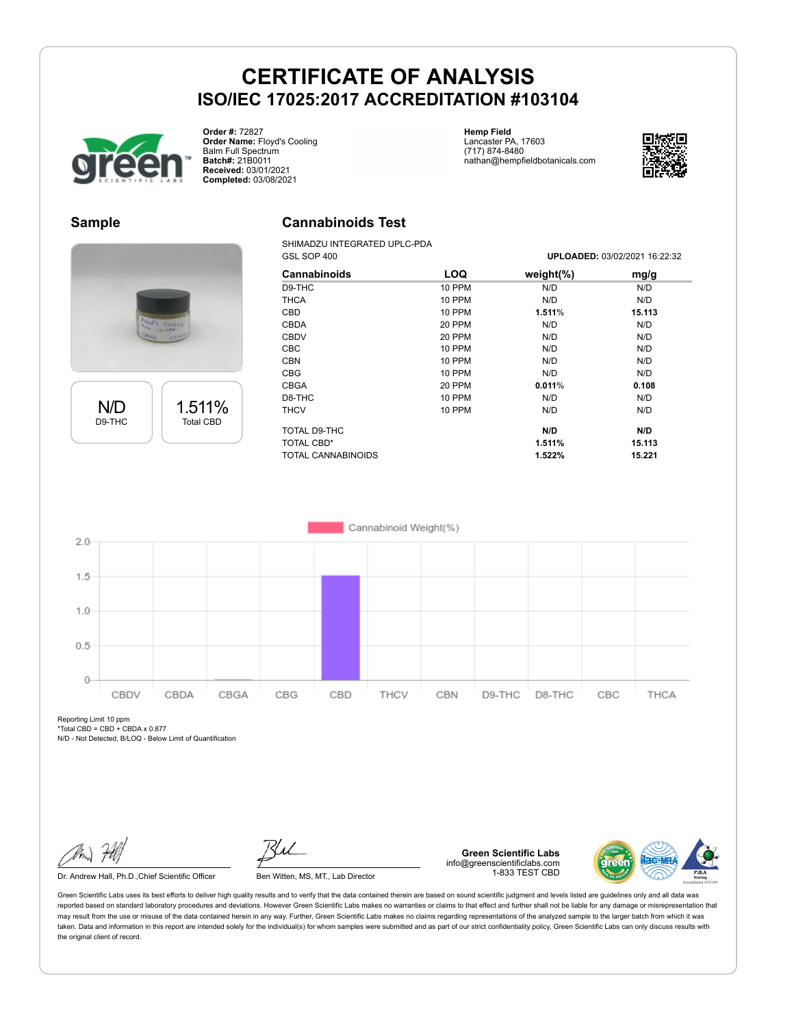# **CERTIFICATE OF ANALYSIS ISO/IEC 17025:2017 ACCREDITATION #103104**



**Order #:** 72827 **Order Name:** Floyd's Cooling Balm Full Spectrum **Batch#:** 21B0011 **Received:** 03/01/2021 **Completed:** 03/08/2021

**Hemp Field** Lancaster PA, 17603 (717) 874-8480 nathan@hempfieldbotanicals.com



#### **Sample**





### **Cannabinoids Test**

SHIMADZU INTEGRATED UPLC-PDA GSL SOP 400 **UPLOADED:** 03/02/2021 16:22:32

| <b>LOQ</b>    | weight $(\%)$ | mg/g   |  |
|---------------|---------------|--------|--|
| <b>10 PPM</b> | N/D           | N/D    |  |
| 10 PPM        | N/D           | N/D    |  |
| 10 PPM        | 1.511%        | 15.113 |  |
| 20 PPM        | N/D           | N/D    |  |
| 20 PPM        | N/D           | N/D    |  |
| 10 PPM        | N/D           | N/D    |  |
| 10 PPM        | N/D           | N/D    |  |
| 10 PPM        | N/D           | N/D    |  |
| 20 PPM        | 0.011%        | 0.108  |  |
| 10 PPM        | N/D           | N/D    |  |
| 10 PPM        | N/D           | N/D    |  |
|               | N/D           | N/D    |  |
|               | 1.511%        | 15.113 |  |
|               | 1.522%        | 15.221 |  |
|               |               |        |  |



Reporting Limit 10 ppm  $*Total CBD = CBD + CBDAX 0.877$ 

N/D - Not Detected, B/LOQ - Below Limit of Quantification

Dr. Andrew Hall, Ph.D., Chief Scientific Officer Ben Witten, MS, MT., Lab Director

**Green Scientific Labs** info@greenscientificlabs.com 1-833 TEST CBD



Green Scientific Labs uses its best efforts to deliver high quality results and to verify that the data contained therein are based on sound scientific judgment and levels listed are guidelines only and all data was reported based on standard laboratory procedures and deviations. However Green Scientific Labs makes no warranties or claims to that effect and further shall not be liable for any damage or misrepresentation that may result from the use or misuse of the data contained herein in any way. Further, Green Scientific Labs makes no claims regarding representations of the analyzed sample to the larger batch from which it was taken. Data and information in this report are intended solely for the individual(s) for whom samples were submitted and as part of our strict confidentiality policy, Green Scientific Labs can only discuss results with the original client of record.